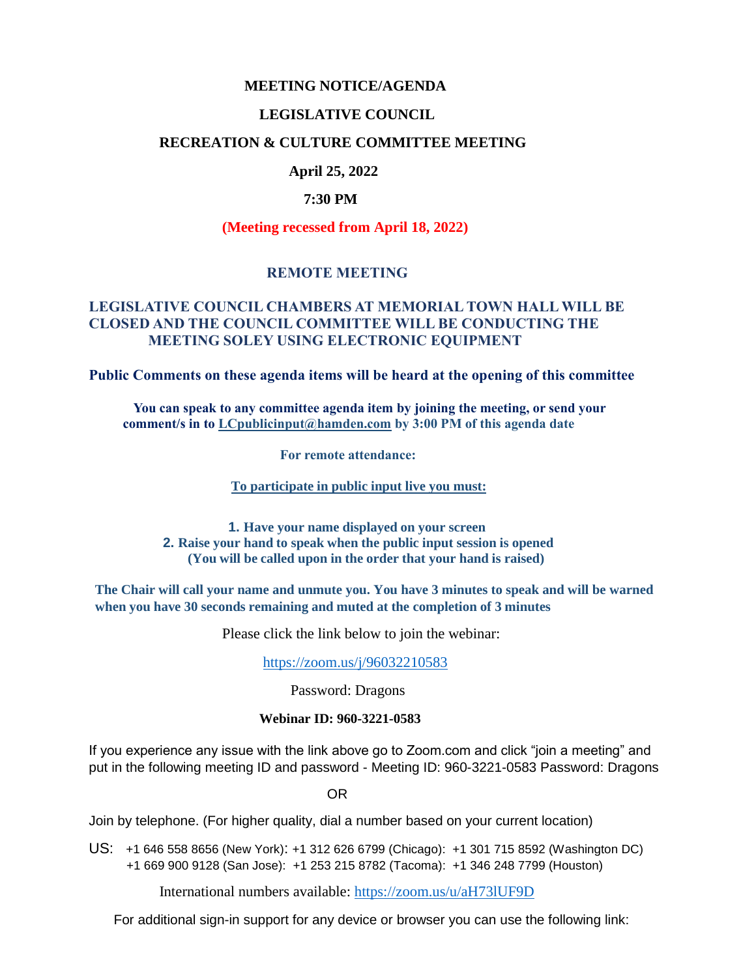#### **MEETING NOTICE/AGENDA**

#### **LEGISLATIVE COUNCIL**

#### **RECREATION & CULTURE COMMITTEE MEETING**

## **April 25, 2022**

#### **7:30 PM**

**(Meeting recessed from April 18, 2022)**

### **REMOTE MEETING**

### **LEGISLATIVE COUNCIL CHAMBERS AT MEMORIAL TOWN HALL WILL BE CLOSED AND THE COUNCIL COMMITTEE WILL BE CONDUCTING THE MEETING SOLEY USING ELECTRONIC EQUIPMENT**

**Public Comments on these agenda items will be heard at the opening of this committee** 

 **You can speak to any committee agenda item by joining the meeting, or send your comment/s in to [LCpublicinput@hamden.com](mailto:LCpublicinput@hamden.com) by 3:00 PM of this agenda date**

 **For remote attendance:**

**To participate in public input live you must:**

**1. Have your name displayed on your screen 2. Raise your hand to speak when the public input session is opened (You will be called upon in the order that your hand is raised)**

**The Chair will call your name and unmute you. You have 3 minutes to speak and will be warned when you have 30 seconds remaining and muted at the completion of 3 minutes**

Please click the link below to join the webinar:

<https://zoom.us/j/96032210583>

Password: Dragons

#### **Webinar ID: 960-3221-0583**

If you experience any issue with the link above go to Zoom.com and click "join a meeting" and put in the following meeting ID and password - Meeting ID: 960-3221-0583 Password: Dragons

OR

Join by telephone. (For higher quality, dial a number based on your current location)

US: [+1 646 558 8656 \(New York\)](tel:+16465588656): [+1 312 626 6799 \(Chicago\):](tel:+13126266799) [+1 301 715 8592 \(Washington DC\)](tel:+13017158592) +1 669 900 9128 (San Jose): [+1 253 215 8782 \(Tacoma\):](tel:+12532158782) [+1 346 248 7799 \(Houston\)](tel:+13462487799)

International numbers available:<https://zoom.us/u/aH73lUF9D>

For additional sign-in support for any device or browser you can use the following link: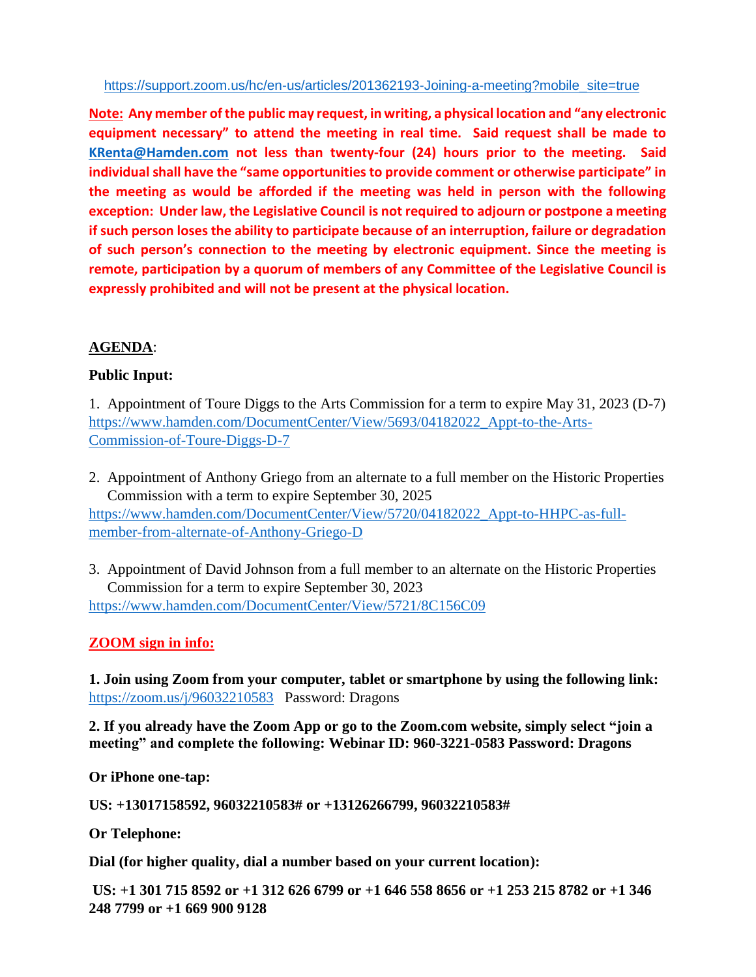#### [https://support.zoom.us/hc/en-us/articles/201362193-Joining-a-meeting?mobile\\_site=true](https://support.zoom.us/hc/en-us/articles/201362193-Joining-a-meeting?mobile_site=true)

**Note: Any member of the public may request, in writing, a physical location and "any electronic equipment necessary" to attend the meeting in real time. Said request shall be made to [KRenta@Hamden.com](mailto:KRenta@Hamden.com) not less than twenty-four (24) hours prior to the meeting. Said individual shall have the "same opportunities to provide comment or otherwise participate" in the meeting as would be afforded if the meeting was held in person with the following exception: Under law, the Legislative Council is not required to adjourn or postpone a meeting if such person loses the ability to participate because of an interruption, failure or degradation of such person's connection to the meeting by electronic equipment. Since the meeting is remote, participation by a quorum of members of any Committee of the Legislative Council is expressly prohibited and will not be present at the physical location.**

# **AGENDA**:

# **Public Input:**

1. Appointment of Toure Diggs to the Arts Commission for a term to expire May 31, 2023 (D-7) [https://www.hamden.com/DocumentCenter/View/5693/04182022\\_Appt-to-the-Arts-](https://www.hamden.com/DocumentCenter/View/5693/04182022_Appt-to-the-Arts-Commission-of-Toure-Diggs-D-7)[Commission-of-Toure-Diggs-D-7](https://www.hamden.com/DocumentCenter/View/5693/04182022_Appt-to-the-Arts-Commission-of-Toure-Diggs-D-7)

- 2. Appointment of Anthony Griego from an alternate to a full member on the Historic Properties Commission with a term to expire September 30, 2025 [https://www.hamden.com/DocumentCenter/View/5720/04182022\\_Appt-to-HHPC-as-full](https://www.hamden.com/DocumentCenter/View/5720/04182022_Appt-to-HHPC-as-full-member-from-alternate-of-Anthony-Griego-D)[member-from-alternate-of-Anthony-Griego-D](https://www.hamden.com/DocumentCenter/View/5720/04182022_Appt-to-HHPC-as-full-member-from-alternate-of-Anthony-Griego-D)
- 3. Appointment of David Johnson from a full member to an alternate on the Historic Properties Commission for a term to expire September 30, 2023 <https://www.hamden.com/DocumentCenter/View/5721/8C156C09>

# **ZOOM sign in info:**

**1. Join using Zoom from your computer, tablet or smartphone by using the following link:** <https://zoom.us/j/96032210583>Password: Dragons

**2. If you already have the Zoom App or go to the Zoom.com website, simply select "join a meeting" and complete the following: Webinar ID: 960-3221-0583 Password: Dragons**

**Or iPhone one-tap:** 

**US: +13017158592, 96032210583# or +13126266799, 96032210583#** 

**Or Telephone:**

**Dial (for higher quality, dial a number based on your current location):**

**US: +1 301 715 8592 or +1 312 626 6799 or +1 646 558 8656 or +1 253 215 8782 or +1 346 248 7799 or +1 669 900 9128**